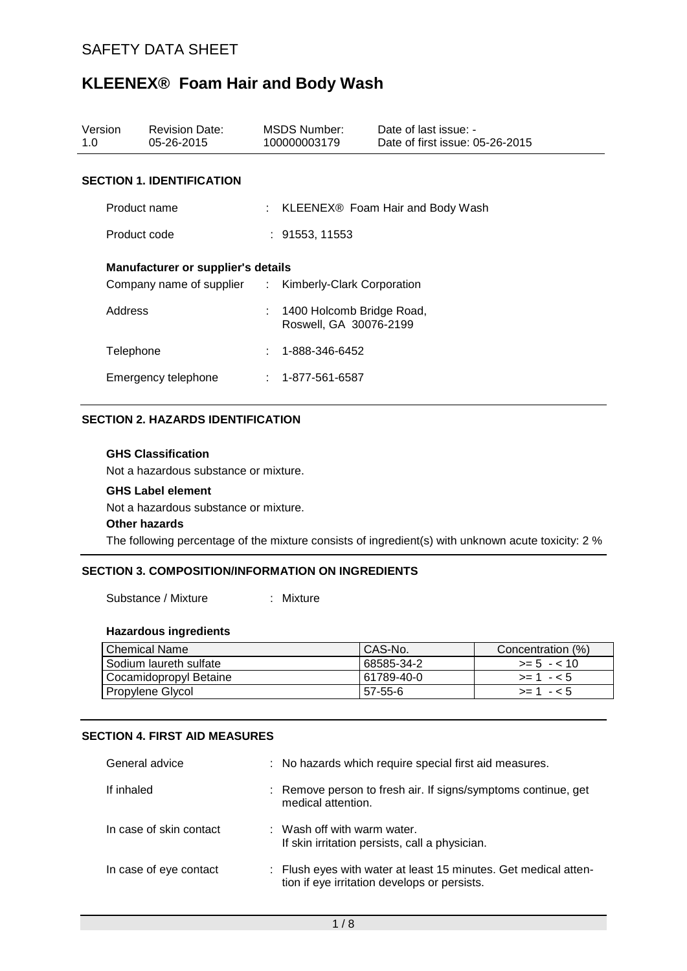| Version<br>1.0                                                                                     | <b>Revision Date:</b><br>05-26-2015 |  | MSDS Number:<br>100000003179                          | Date of last issue: -<br>Date of first issue: 05-26-2015 |  |
|----------------------------------------------------------------------------------------------------|-------------------------------------|--|-------------------------------------------------------|----------------------------------------------------------|--|
|                                                                                                    | <b>SECTION 1. IDENTIFICATION</b>    |  |                                                       |                                                          |  |
|                                                                                                    | Product name                        |  |                                                       | $\therefore$ KLEENEX® Foam Hair and Body Wash            |  |
|                                                                                                    | Product code                        |  | : 91553, 11553                                        |                                                          |  |
| <b>Manufacturer or supplier's details</b><br>Company name of supplier : Kimberly-Clark Corporation |                                     |  |                                                       |                                                          |  |
| Address                                                                                            |                                     |  | : 1400 Holcomb Bridge Road,<br>Roswell, GA 30076-2199 |                                                          |  |
| Telephone                                                                                          |                                     |  | 1-888-346-6452                                        |                                                          |  |
| Emergency telephone                                                                                |                                     |  | $: 1 - 877 - 561 - 6587$                              |                                                          |  |

#### **SECTION 2. HAZARDS IDENTIFICATION**

# **GHS Classification**

Not a hazardous substance or mixture.

#### **GHS Label element**

Not a hazardous substance or mixture.

#### **Other hazards**

The following percentage of the mixture consists of ingredient(s) with unknown acute toxicity: 2 %

# **SECTION 3. COMPOSITION/INFORMATION ON INGREDIENTS**

Substance / Mixture : Mixture

#### **Hazardous ingredients**

| Chemical Name            | CAS-No.    | Concentration (%) |
|--------------------------|------------|-------------------|
| I Sodium laureth sulfate | 68585-34-2 | $>= 5 - 10$       |
| Cocamidopropyl Betaine   | 61789-40-0 | $>= 1 - 5$        |
| Propylene Glycol         | 57-55-6    | $> = 1 - 5$       |

#### **SECTION 4. FIRST AID MEASURES**

| General advice          | : No hazards which require special first aid measures.                                                          |
|-------------------------|-----------------------------------------------------------------------------------------------------------------|
| If inhaled              | : Remove person to fresh air. If signs/symptoms continue, get<br>medical attention.                             |
| In case of skin contact | $\therefore$ Wash off with warm water.<br>If skin irritation persists, call a physician.                        |
| In case of eye contact  | : Flush eyes with water at least 15 minutes. Get medical atten-<br>tion if eye irritation develops or persists. |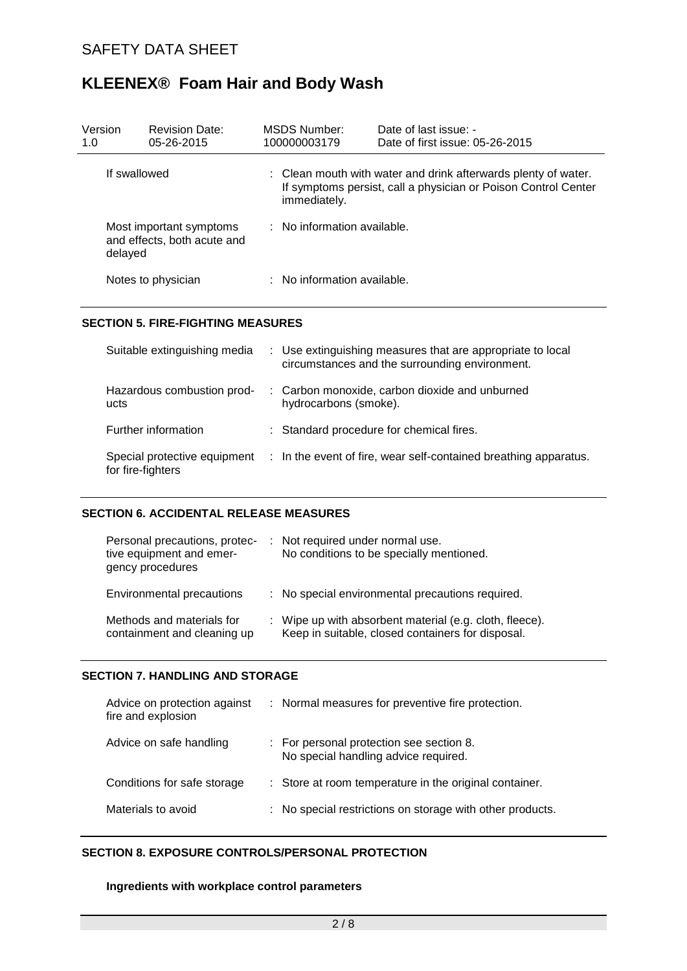| Version<br>1.0 | <b>Revision Date:</b><br>05-26-2015                    |                                        | MSDS Number:<br>100000003179 | Date of last issue: -<br>Date of first issue: 05-26-2015                                                                         |
|----------------|--------------------------------------------------------|----------------------------------------|------------------------------|----------------------------------------------------------------------------------------------------------------------------------|
| If swallowed   |                                                        |                                        | immediately.                 | : Clean mouth with water and drink afterwards plenty of water.<br>If symptoms persist, call a physician or Poison Control Center |
| delayed        | Most important symptoms<br>and effects, both acute and | $\therefore$ No information available. |                              |                                                                                                                                  |
|                | Notes to physician                                     |                                        | : No information available.  |                                                                                                                                  |

#### **SECTION 5. FIRE-FIGHTING MEASURES**

| Suitable extinguishing media                      | : Use extinguishing measures that are appropriate to local<br>circumstances and the surrounding environment. |
|---------------------------------------------------|--------------------------------------------------------------------------------------------------------------|
| Hazardous combustion prod-<br>ucts                | : Carbon monoxide, carbon dioxide and unburned<br>hydrocarbons (smoke).                                      |
| Further information                               | : Standard procedure for chemical fires.                                                                     |
| Special protective equipment<br>for fire-fighters | : In the event of fire, wear self-contained breathing apparatus.                                             |

## **SECTION 6. ACCIDENTAL RELEASE MEASURES**

| Personal precautions, protec-<br>tive equipment and emer-<br>gency procedures | : Not required under normal use.<br>No conditions to be specially mentioned.                                 |
|-------------------------------------------------------------------------------|--------------------------------------------------------------------------------------------------------------|
| Environmental precautions                                                     | : No special environmental precautions required.                                                             |
| Methods and materials for<br>containment and cleaning up                      | : Wipe up with absorbent material (e.g. cloth, fleece).<br>Keep in suitable, closed containers for disposal. |

## **SECTION 7. HANDLING AND STORAGE**

| Advice on protection against<br>fire and explosion | : Normal measures for preventive fire protection.                                |  |
|----------------------------------------------------|----------------------------------------------------------------------------------|--|
| Advice on safe handling                            | : For personal protection see section 8.<br>No special handling advice required. |  |
| Conditions for safe storage                        | : Store at room temperature in the original container.                           |  |
| Materials to avoid                                 | : No special restrictions on storage with other products.                        |  |
|                                                    |                                                                                  |  |

# **SECTION 8. EXPOSURE CONTROLS/PERSONAL PROTECTION**

#### **Ingredients with workplace control parameters**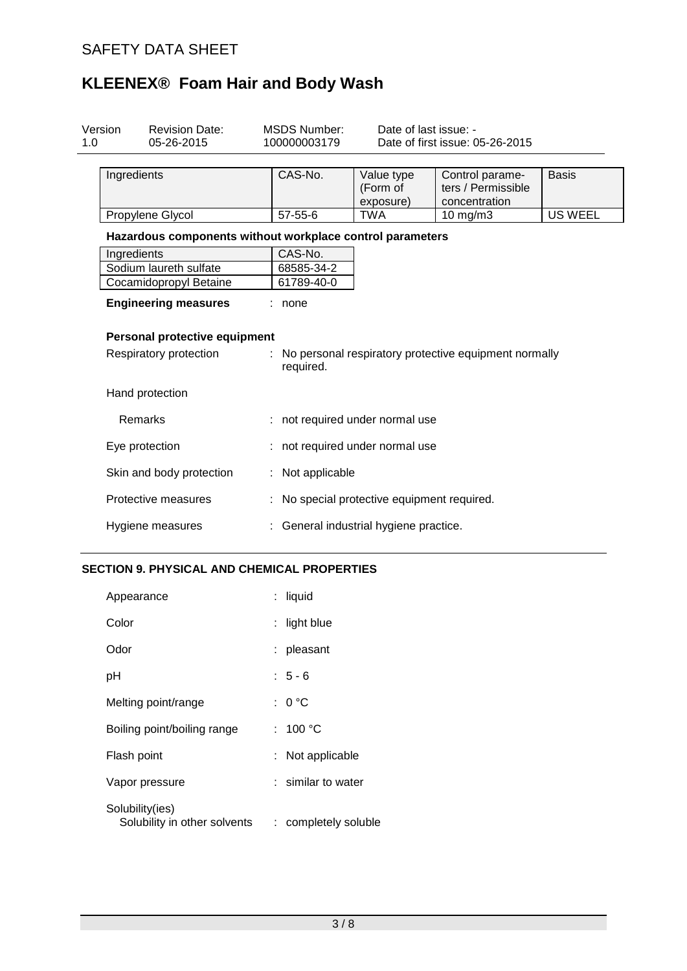| Version<br><b>Revision Date:</b><br>05-26-2015<br>1.0     | <b>MSDS Number:</b><br>100000003179 | Date of last issue: -                     | Date of first issue: 05-26-2015                         |                |
|-----------------------------------------------------------|-------------------------------------|-------------------------------------------|---------------------------------------------------------|----------------|
| Ingredients                                               | CAS-No.                             | Value type<br>(Form of<br>exposure)       | Control parame-<br>ters / Permissible<br>concentration  | <b>Basis</b>   |
| Propylene Glycol                                          | $57 - 55 - 6$                       | <b>TWA</b>                                | 10 mg/m3                                                | <b>US WEEL</b> |
| Hazardous components without workplace control parameters |                                     |                                           |                                                         |                |
| Ingredients                                               | CAS-No.                             |                                           |                                                         |                |
| Sodium laureth sulfate                                    | 68585-34-2                          |                                           |                                                         |                |
| Cocamidopropyl Betaine                                    | 61789-40-0                          |                                           |                                                         |                |
| <b>Engineering measures</b>                               | none                                |                                           |                                                         |                |
| Personal protective equipment                             |                                     |                                           |                                                         |                |
| Respiratory protection                                    | required.                           |                                           | : No personal respiratory protective equipment normally |                |
| Hand protection                                           |                                     |                                           |                                                         |                |
| Remarks                                                   | : not required under normal use     |                                           |                                                         |                |
| Eye protection                                            |                                     | not required under normal use             |                                                         |                |
| Skin and body protection                                  | Not applicable                      |                                           |                                                         |                |
| Protective measures                                       |                                     | No special protective equipment required. |                                                         |                |
| Hygiene measures                                          |                                     | General industrial hygiene practice.      |                                                         |                |

# **SECTION 9. PHYSICAL AND CHEMICAL PROPERTIES**

| Appearance                                      | : liquid             |
|-------------------------------------------------|----------------------|
| Color                                           | : light blue         |
| Odor                                            | : pleasant           |
| рH                                              | $: 5 - 6$            |
| Melting point/range                             | : 0 °C               |
| Boiling point/boiling range                     | : 100 °C             |
| Flash point                                     | : Not applicable     |
| Vapor pressure                                  | : similar to water   |
| Solubility(ies)<br>Solubility in other solvents | : completely soluble |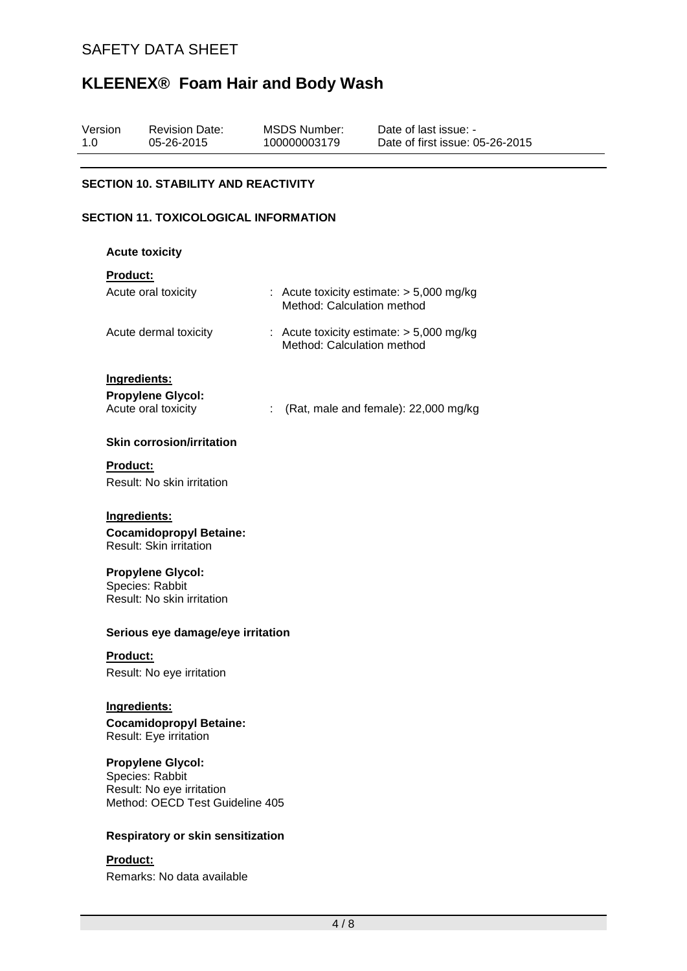| Version | <b>Revision Date:</b> | MSDS Number: | Date of last issue: -           |  |
|---------|-----------------------|--------------|---------------------------------|--|
| 1.0     | 05-26-2015            | 100000003179 | Date of first issue: 05-26-2015 |  |
|         |                       |              |                                 |  |

# **SECTION 10. STABILITY AND REACTIVITY**

#### **SECTION 11. TOXICOLOGICAL INFORMATION**

#### **Acute toxicity**

#### **Product:**

| Acute oral toxicity              | : Acute toxicity estimate: $>$ 5,000 mg/kg<br>Method: Calculation method |
|----------------------------------|--------------------------------------------------------------------------|
| Acute dermal toxicity            | : Acute toxicity estimate: $>$ 5,000 mg/kg<br>Method: Calculation method |
| Ingredients:                     |                                                                          |
|                                  |                                                                          |
| <b>Propylene Glycol:</b>         |                                                                          |
| Acute oral toxicity              | (Rat, male and female): 22,000 mg/kg                                     |
| <b>Skin corrosion/irritation</b> |                                                                          |
| Product:                         |                                                                          |
| Result: No skin irritation       |                                                                          |
|                                  |                                                                          |
| Ingredients:                     |                                                                          |
| <b>Cocamidopropyl Betaine:</b>   |                                                                          |

Result: Skin irritation

## **Propylene Glycol:**

Species: Rabbit Result: No skin irritation

#### **Serious eye damage/eye irritation**

#### **Product:**

Result: No eye irritation

#### **Ingredients:**

**Cocamidopropyl Betaine:** Result: Eye irritation

# **Propylene Glycol:**

Species: Rabbit Result: No eye irritation Method: OECD Test Guideline 405

#### **Respiratory or skin sensitization**

# **Product:**

Remarks: No data available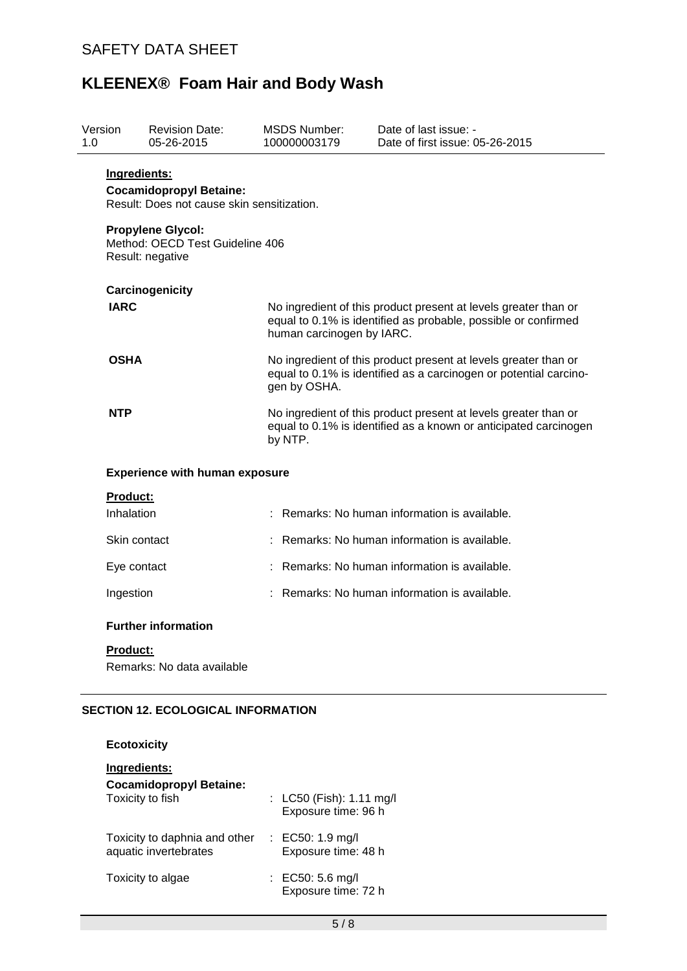| Version<br>1.0  | <b>Revision Date:</b><br>05-26-2015                                                                                                                             | <b>MSDS Number:</b><br>100000003179                                                                                                                            | Date of last issue: -<br>Date of first issue: 05-26-2015                                                                            |  |  |
|-----------------|-----------------------------------------------------------------------------------------------------------------------------------------------------------------|----------------------------------------------------------------------------------------------------------------------------------------------------------------|-------------------------------------------------------------------------------------------------------------------------------------|--|--|
| Ingredients:    | <b>Cocamidopropyl Betaine:</b><br>Result: Does not cause skin sensitization.<br><b>Propylene Glycol:</b><br>Method: OECD Test Guideline 406<br>Result: negative |                                                                                                                                                                |                                                                                                                                     |  |  |
| <b>IARC</b>     | Carcinogenicity                                                                                                                                                 | No ingredient of this product present at levels greater than or<br>equal to 0.1% is identified as probable, possible or confirmed<br>human carcinogen by IARC. |                                                                                                                                     |  |  |
| <b>OSHA</b>     |                                                                                                                                                                 | No ingredient of this product present at levels greater than or<br>equal to 0.1% is identified as a carcinogen or potential carcino-<br>gen by OSHA.           |                                                                                                                                     |  |  |
| <b>NTP</b>      |                                                                                                                                                                 | by NTP.                                                                                                                                                        | No ingredient of this product present at levels greater than or<br>equal to 0.1% is identified as a known or anticipated carcinogen |  |  |
|                 | <b>Experience with human exposure</b>                                                                                                                           |                                                                                                                                                                |                                                                                                                                     |  |  |
| <b>Product:</b> |                                                                                                                                                                 |                                                                                                                                                                |                                                                                                                                     |  |  |
| Inhalation      |                                                                                                                                                                 |                                                                                                                                                                | : Remarks: No human information is available.                                                                                       |  |  |
| Skin contact    |                                                                                                                                                                 |                                                                                                                                                                | : Remarks: No human information is available.                                                                                       |  |  |
| Eye contact     |                                                                                                                                                                 |                                                                                                                                                                | : Remarks: No human information is available.                                                                                       |  |  |
| Ingestion       |                                                                                                                                                                 |                                                                                                                                                                | : Remarks: No human information is available.                                                                                       |  |  |
|                 | <b>Further information</b>                                                                                                                                      |                                                                                                                                                                |                                                                                                                                     |  |  |
| Product:        | Remarks: No data available                                                                                                                                      |                                                                                                                                                                |                                                                                                                                     |  |  |

# **SECTION 12. ECOLOGICAL INFORMATION**

**Ecotoxicity**

| Ingredients:                                           |                                                 |
|--------------------------------------------------------|-------------------------------------------------|
| <b>Cocamidopropyl Betaine:</b><br>Toxicity to fish     | : LC50 (Fish): 1.11 mg/l<br>Exposure time: 96 h |
| Toxicity to daphnia and other<br>aquatic invertebrates | : EC50: 1.9 mg/l<br>Exposure time: 48 h         |
| Toxicity to algae                                      | : EC50: 5.6 mg/l<br>Exposure time: 72 h         |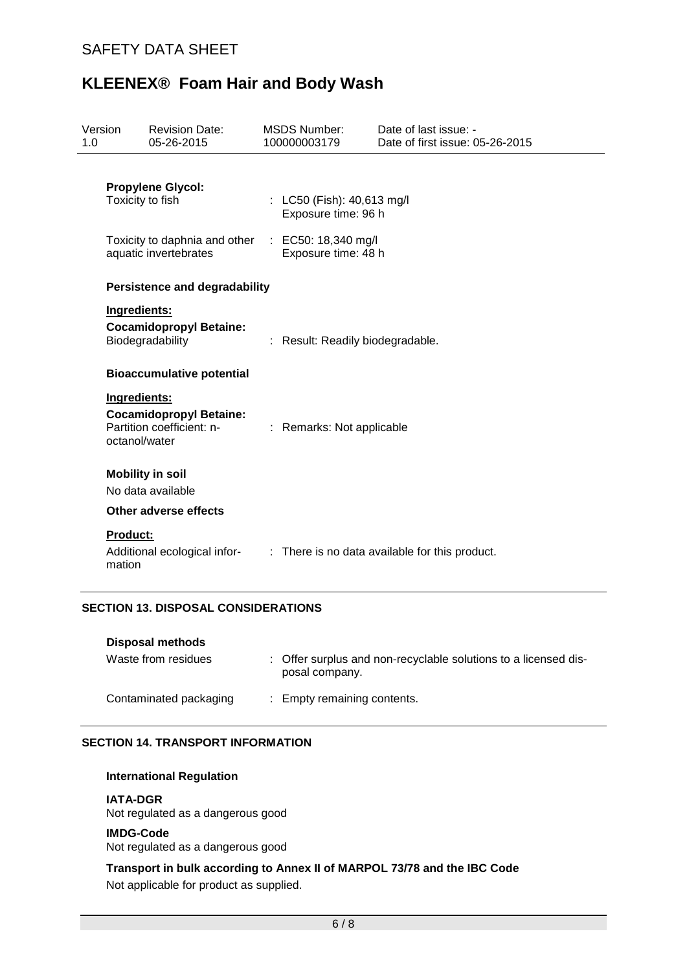| Version<br>1.0 |                                                                    | <b>Revision Date:</b><br>05-26-2015                         |  | <b>MSDS Number:</b><br>100000003179               | Date of last issue: -<br>Date of first issue: 05-26-2015 |  |  |  |
|----------------|--------------------------------------------------------------------|-------------------------------------------------------------|--|---------------------------------------------------|----------------------------------------------------------|--|--|--|
|                | Toxicity to fish                                                   | <b>Propylene Glycol:</b>                                    |  | : LC50 (Fish): 40,613 mg/l<br>Exposure time: 96 h |                                                          |  |  |  |
|                | Toxicity to daphnia and other<br>aquatic invertebrates             |                                                             |  | : EC50: 18,340 mg/l<br>Exposure time: 48 h        |                                                          |  |  |  |
|                |                                                                    | <b>Persistence and degradability</b>                        |  |                                                   |                                                          |  |  |  |
|                | Ingredients:<br><b>Cocamidopropyl Betaine:</b><br>Biodegradability |                                                             |  | : Result: Readily biodegradable.                  |                                                          |  |  |  |
|                |                                                                    | <b>Bioaccumulative potential</b>                            |  |                                                   |                                                          |  |  |  |
|                | Ingredients:<br>octanol/water                                      | <b>Cocamidopropyl Betaine:</b><br>Partition coefficient: n- |  | : Remarks: Not applicable                         |                                                          |  |  |  |
|                |                                                                    | <b>Mobility in soil</b><br>No data available                |  |                                                   |                                                          |  |  |  |
|                |                                                                    | Other adverse effects                                       |  |                                                   |                                                          |  |  |  |
|                | <b>Product:</b><br>mation                                          | Additional ecological infor-                                |  |                                                   | : There is no data available for this product.           |  |  |  |

# **SECTION 13. DISPOSAL CONSIDERATIONS**

| Disposal methods       |                                                                                   |
|------------------------|-----------------------------------------------------------------------------------|
| Waste from residues    | : Offer surplus and non-recyclable solutions to a licensed dis-<br>posal company. |
| Contaminated packaging | : Empty remaining contents.                                                       |

## **SECTION 14. TRANSPORT INFORMATION**

#### **International Regulation**

#### **IATA-DGR**

Not regulated as a dangerous good

#### **IMDG-Code**

Not regulated as a dangerous good

**Transport in bulk according to Annex II of MARPOL 73/78 and the IBC Code** Not applicable for product as supplied.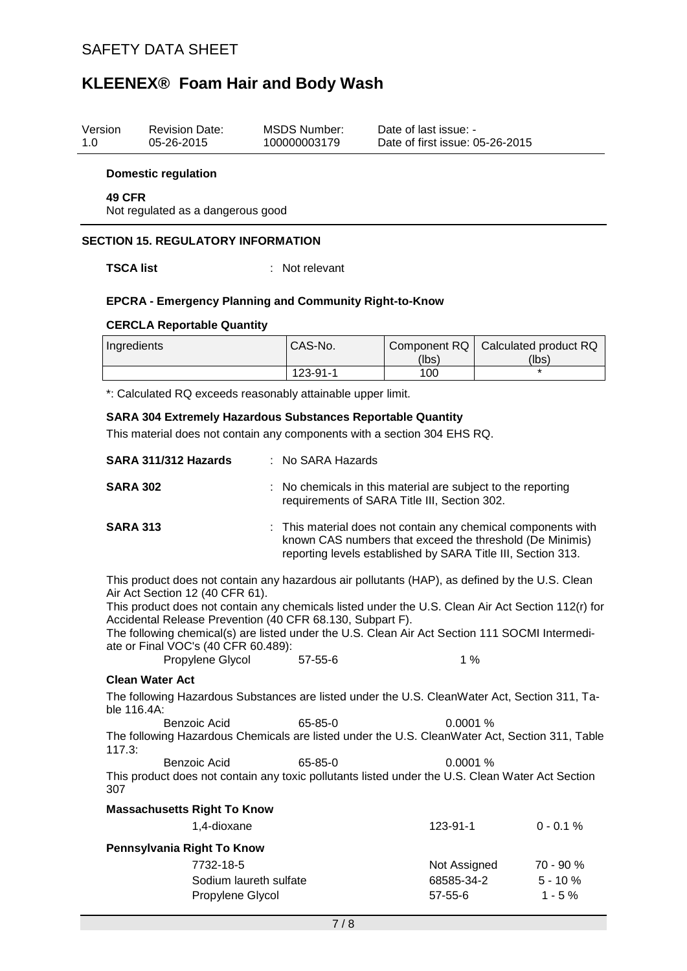| Version<br>1.0                                                                                                                                                                                                                                                                                                                                                                                         |                                                                                                                                                                                                                                          | <b>Revision Date:</b><br>05-26-2015        |               | <b>MSDS Number:</b><br>100000003179                                                                        | Date of last issue: -<br>Date of first issue: 05-26-2015                                                    |    |                                    |  |
|--------------------------------------------------------------------------------------------------------------------------------------------------------------------------------------------------------------------------------------------------------------------------------------------------------------------------------------------------------------------------------------------------------|------------------------------------------------------------------------------------------------------------------------------------------------------------------------------------------------------------------------------------------|--------------------------------------------|---------------|------------------------------------------------------------------------------------------------------------|-------------------------------------------------------------------------------------------------------------|----|------------------------------------|--|
|                                                                                                                                                                                                                                                                                                                                                                                                        | <b>Domestic regulation</b>                                                                                                                                                                                                               |                                            |               |                                                                                                            |                                                                                                             |    |                                    |  |
|                                                                                                                                                                                                                                                                                                                                                                                                        | 49 CFR                                                                                                                                                                                                                                   | Not regulated as a dangerous good          |               |                                                                                                            |                                                                                                             |    |                                    |  |
|                                                                                                                                                                                                                                                                                                                                                                                                        |                                                                                                                                                                                                                                          | <b>SECTION 15. REGULATORY INFORMATION</b>  |               |                                                                                                            |                                                                                                             |    |                                    |  |
|                                                                                                                                                                                                                                                                                                                                                                                                        | <b>TSCA list</b>                                                                                                                                                                                                                         |                                            |               | Not relevant                                                                                               |                                                                                                             |    |                                    |  |
|                                                                                                                                                                                                                                                                                                                                                                                                        | <b>EPCRA - Emergency Planning and Community Right-to-Know</b>                                                                                                                                                                            |                                            |               |                                                                                                            |                                                                                                             |    |                                    |  |
|                                                                                                                                                                                                                                                                                                                                                                                                        |                                                                                                                                                                                                                                          | <b>CERCLA Reportable Quantity</b>          |               |                                                                                                            |                                                                                                             |    |                                    |  |
|                                                                                                                                                                                                                                                                                                                                                                                                        | Ingredients                                                                                                                                                                                                                              |                                            |               | CAS-No.                                                                                                    | Component RQ<br>(lbs)                                                                                       |    | Calculated product RQ<br>(lbs)     |  |
|                                                                                                                                                                                                                                                                                                                                                                                                        |                                                                                                                                                                                                                                          |                                            |               | 123-91-1                                                                                                   | 100                                                                                                         |    |                                    |  |
|                                                                                                                                                                                                                                                                                                                                                                                                        |                                                                                                                                                                                                                                          |                                            |               | *: Calculated RQ exceeds reasonably attainable upper limit.                                                |                                                                                                             |    |                                    |  |
|                                                                                                                                                                                                                                                                                                                                                                                                        | <b>SARA 304 Extremely Hazardous Substances Reportable Quantity</b><br>This material does not contain any components with a section 304 EHS RQ.                                                                                           |                                            |               |                                                                                                            |                                                                                                             |    |                                    |  |
| SARA 311/312 Hazards<br>No SARA Hazards                                                                                                                                                                                                                                                                                                                                                                |                                                                                                                                                                                                                                          |                                            |               |                                                                                                            |                                                                                                             |    |                                    |  |
|                                                                                                                                                                                                                                                                                                                                                                                                        | <b>SARA 302</b>                                                                                                                                                                                                                          |                                            |               | No chemicals in this material are subject to the reporting<br>requirements of SARA Title III, Section 302. |                                                                                                             |    |                                    |  |
| <b>SARA 313</b><br>This material does not contain any chemical components with<br>known CAS numbers that exceed the threshold (De Minimis)<br>reporting levels established by SARA Title III, Section 313.                                                                                                                                                                                             |                                                                                                                                                                                                                                          |                                            |               |                                                                                                            |                                                                                                             |    |                                    |  |
| This product does not contain any hazardous air pollutants (HAP), as defined by the U.S. Clean<br>Air Act Section 12 (40 CFR 61).<br>This product does not contain any chemicals listed under the U.S. Clean Air Act Section 112(r) for<br>Accidental Release Prevention (40 CFR 68.130, Subpart F).<br>The following chemical(s) are listed under the U.S. Clean Air Act Section 111 SOCMI Intermedi- |                                                                                                                                                                                                                                          |                                            |               |                                                                                                            |                                                                                                             |    |                                    |  |
|                                                                                                                                                                                                                                                                                                                                                                                                        | ate or Final VOC's (40 CFR 60.489):<br>Propylene Glycol                                                                                                                                                                                  |                                            | $57 - 55 - 6$ |                                                                                                            |                                                                                                             | 1% |                                    |  |
|                                                                                                                                                                                                                                                                                                                                                                                                        | <b>Clean Water Act</b>                                                                                                                                                                                                                   |                                            |               |                                                                                                            |                                                                                                             |    |                                    |  |
|                                                                                                                                                                                                                                                                                                                                                                                                        | The following Hazardous Substances are listed under the U.S. CleanWater Act, Section 311, Ta-<br>ble 116.4A:<br>Benzoic Acid<br>The following Hazardous Chemicals are listed under the U.S. CleanWater Act, Section 311, Table<br>117.3: |                                            |               |                                                                                                            |                                                                                                             |    |                                    |  |
|                                                                                                                                                                                                                                                                                                                                                                                                        |                                                                                                                                                                                                                                          |                                            |               | 65-85-0                                                                                                    | 0.0001 %                                                                                                    |    |                                    |  |
|                                                                                                                                                                                                                                                                                                                                                                                                        | 307                                                                                                                                                                                                                                      | Benzoic Acid                               |               | 65-85-0                                                                                                    | 0.0001%<br>This product does not contain any toxic pollutants listed under the U.S. Clean Water Act Section |    |                                    |  |
|                                                                                                                                                                                                                                                                                                                                                                                                        |                                                                                                                                                                                                                                          | <b>Massachusetts Right To Know</b>         |               |                                                                                                            |                                                                                                             |    |                                    |  |
|                                                                                                                                                                                                                                                                                                                                                                                                        |                                                                                                                                                                                                                                          | 1,4-dioxane                                |               |                                                                                                            | 123-91-1                                                                                                    |    | $0 - 0.1 %$                        |  |
|                                                                                                                                                                                                                                                                                                                                                                                                        |                                                                                                                                                                                                                                          | Pennsylvania Right To Know                 |               |                                                                                                            |                                                                                                             |    |                                    |  |
| 7732-18-5                                                                                                                                                                                                                                                                                                                                                                                              |                                                                                                                                                                                                                                          | Sodium laureth sulfate<br>Propylene Glycol |               |                                                                                                            | Not Assigned<br>68585-34-2<br>$57 - 55 - 6$                                                                 |    | 70 - 90 %<br>$5 - 10%$<br>$1 - 5%$ |  |
|                                                                                                                                                                                                                                                                                                                                                                                                        |                                                                                                                                                                                                                                          |                                            |               | 7/8                                                                                                        |                                                                                                             |    |                                    |  |